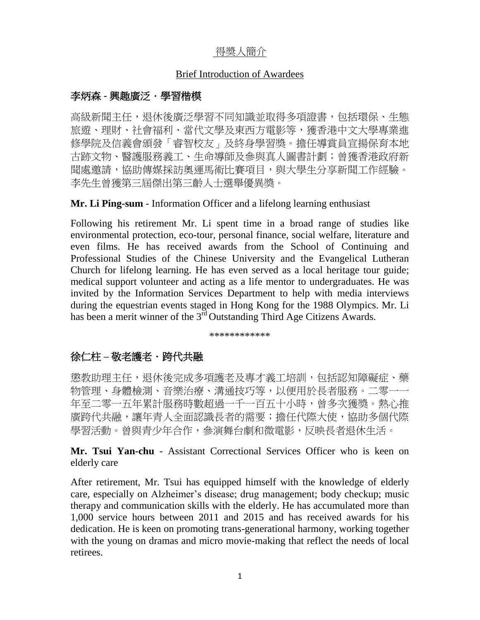## 得奬人簡介

#### Brief Introduction of Awardees

## 李炳森 **-** 興趣廣泛.學習楷模

高級新聞主任,退休後廣泛學習不同知識並取得多項證書,包括環保、生態 旅遊、理財、社會福利、當代文學及東西方電影等,獲香港中文大學專業進 修學院及信義會頒發「睿智校友」及終身學習獎。擔任導賞員宣揚保育本地 古跡文物、醫護服務義工、生命導師及參與真人圖書計劃;曾獲香港政府新 聞處邀請,協助傳媒採訪奧運馬術比賽項目,與大學生分享新聞工作經驗。 李先生曾獲第三屆傑出第三齡人士選舉優異獎。

**Mr. Li Ping-sum** - Information Officer and a lifelong learning enthusiast

Following his retirement Mr. Li spent time in a broad range of studies like environmental protection, eco-tour, personal finance, social welfare, literature and even films. He has received awards from the School of Continuing and Professional Studies of the Chinese University and the Evangelical Lutheran Church for lifelong learning. He has even served as a local heritage tour guide; medical support volunteer and acting as a life mentor to undergraduates. He was invited by the Information Services Department to help with media interviews during the equestrian events staged in Hong Kong for the 1988 Olympics. Mr. Li has been a merit winner of the 3<sup>rd</sup> Outstanding Third Age Citizens Awards.

\*\*\*\*\*\*\*\*\*\*\*\*

# 徐仁柱 – 敬老護老 · 跨代共融

懲教助理主任,退休後完成多項護老及專才義工培訓,包括認知障礙症、藥 物管理、身體檢測、音樂治療、溝通技巧等,以便用於長者服務。二零一一 年至二零一五年累計服務時數超過一千一百五十小時,曾多次獲獎。熱心推 廣跨代共融,讓年青人全面認識長者的需要;擔任代際大使,協助多個代際 學習活動。曾與青少年合作,參演舞台劇和微電影,反映長者退休生活。

**Mr. Tsui Yan-chu** - Assistant Correctional Services Officer who is keen on elderly care

After retirement, Mr. Tsui has equipped himself with the knowledge of elderly care, especially on Alzheimer's disease; drug management; body checkup; music therapy and communication skills with the elderly. He has accumulated more than 1,000 service hours between 2011 and 2015 and has received awards for his dedication. He is keen on promoting trans-generational harmony, working together with the young on dramas and micro movie-making that reflect the needs of local retirees.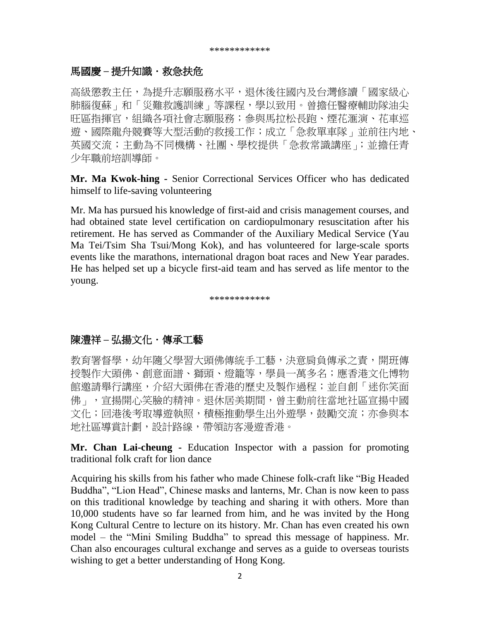### 馬國慶 – 提升知識 · 救急扶危

高級懲教主任,為提升志願服務水平,退休後往國內及台灣修讀「國家級心」 肺腦復蘇」和「災難救護訓練」等課程,學以致用。曾擔任醫療輔助隊油尖 旺區指揮官,組織各項社會志願服務;參與馬拉松長跑、煙花滙演、花車巡 遊、國際龍舟競賽等大型活動的救援工作;成立「急救單車隊」並前往內地、 英國交流;主動為不同機構、社團、學校提供「急救常識講座」;並擔任青 少年職前培訓導師。

**Mr. Ma Kwok-hing -** Senior Correctional Services Officer who has dedicated himself to life-saving volunteering

Mr. Ma has pursued his knowledge of first-aid and crisis management courses, and had obtained state level certification on cardiopulmonary resuscitation after his retirement. He has served as Commander of the Auxiliary Medical Service (Yau Ma Tei/Tsim Sha Tsui/Mong Kok), and has volunteered for large-scale sports events like the marathons, international dragon boat races and New Year parades. He has helped set up a bicycle first-aid team and has served as life mentor to the young.

\*\*\*\*\*\*\*\*\*\*\*\*

# 陳澧祥 – 弘揚文化·傳承工藝

教育署督學,幼年隨父學習大頭佛傳統手工藝,決意肩負傳承之責,開班傳 授製作大頭佛、創意面譜、獅頭、燈籠等,學員一萬多名;應香港文化博物 館邀請舉行講座,介紹大頭佛在香港的歷史及製作過程;並自創「迷你笑面 佛」,宣揚開心笑臉的精神。退休居美期間,曾主動前往當地社區宣揚中國 文化;回港後考取導遊執照,積極推動學生出外遊學,鼓勵交流;亦參與本 地社區導賞計劃,設計路線,帶領訪客漫遊香港。

**Mr. Chan Lai-cheung -** Education Inspector with a passion for promoting traditional folk craft for lion dance

Acquiring his skills from his father who made Chinese folk-craft like "Big Headed Buddha", "Lion Head", Chinese masks and lanterns, Mr. Chan is now keen to pass on this traditional knowledge by teaching and sharing it with others. More than 10,000 students have so far learned from him, and he was invited by the Hong Kong Cultural Centre to lecture on its history. Mr. Chan has even created his own model – the "Mini Smiling Buddha" to spread this message of happiness. Mr. Chan also encourages cultural exchange and serves as a guide to overseas tourists wishing to get a better understanding of Hong Kong.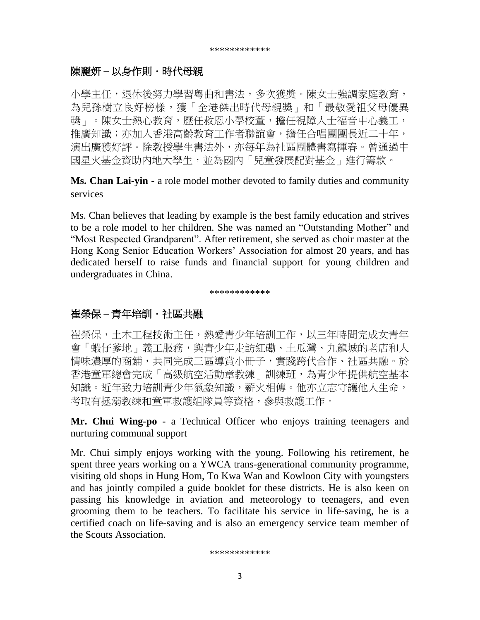### 陳麗妍 – 以身作則 · 時代母親

小學主任,退休後努力學習粵曲和書法,多次獲獎。陳女士強調家庭教育, 為兒孫樹立良好榜樣,獲「全港傑出時代母親獎」和「最敬愛祖父母優異 獎」。陳女士熱心教育,歷任救恩小學校董,擔任視障人士福音中心義工, 推廣知識;亦加入香港高齡教育工作者聯誼會,擔任合唱團團長近二十年, 演出廣獲好評。除教授學生書法外,亦每年為社區團體書寫揮春。曾通過中 國星火基金資助內地大學生,並為國內「兒童發展配對基金」進行籌款。

**Ms. Chan Lai-yin -** a role model mother devoted to family duties and community services

Ms. Chan believes that leading by example is the best family education and strives to be a role model to her children. She was named an "Outstanding Mother" and "Most Respected Grandparent". After retirement, she served as choir master at the Hong Kong Senior Education Workers' Association for almost 20 years, and has dedicated herself to raise funds and financial support for young children and undergraduates in China.

\*\*\*\*\*\*\*\*\*\*\*\*

#### 崔榮保 – 青年培訓・社區共融

崔榮保,土木工程技術主任,熱愛青少年培訓工作,以三年時間完成女青年 會「蝦仔爹地」義工服務,與青少年走訪紅磡、土瓜灣、九龍城的老店和人 情味濃厚的商鋪,共同完成三區導賞小冊子,實踐跨代合作、社區共融。於 香港童軍總會完成「高級航空活動章教練」訓練班,為青少年提供航空基本 知識。近年致力培訓青少年氣象知識,薪火相傳。他亦立志守護他人生命, 考取有拯溺教練和童軍救護組隊員等資格,參與救護工作。

**Mr. Chui Wing-po -** a Technical Officer who enjoys training teenagers and nurturing communal support

Mr. Chui simply enjoys working with the young. Following his retirement, he spent three years working on a YWCA trans-generational community programme, visiting old shops in Hung Hom, To Kwa Wan and Kowloon City with youngsters and has jointly compiled a guide booklet for these districts. He is also keen on passing his knowledge in aviation and meteorology to teenagers, and even grooming them to be teachers. To facilitate his service in life-saving, he is a certified coach on life-saving and is also an emergency service team member of the Scouts Association.

\*\*\*\*\*\*\*\*\*\*\*\*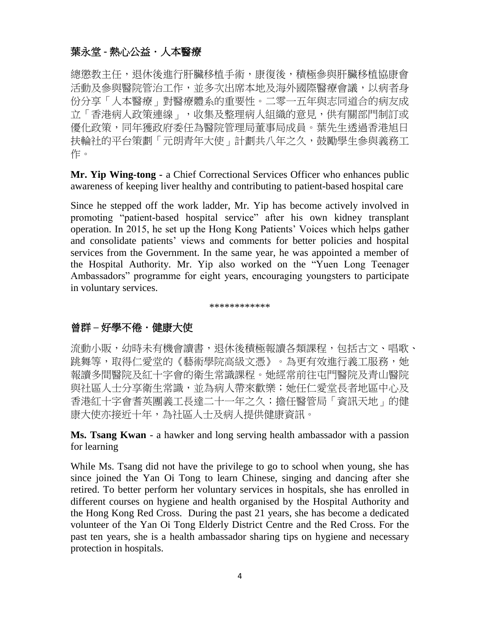# 葉永堂 **-** 熱心公益.人本醫療

總懲教主任,退休後進行肝臟移植手術,康復後,積極參與肝臟移植協康會 活動及參與醫院管治工作,並多次出席本地及海外國際醫療會議,以病者身 份分享「人本醫療」對醫療體系的重要性。二零一五年與志同道合的病友成 立「香港病人政策連線」,收集及整理病人組織的意見,供有關部門制訂或 優化政策,同年獲政府委任為醫院管理局董事局成員。葉先生透過香港旭日 扶輪社的平台策劃「元朗青年大使」計劃共八年之久,鼓勵學生參與義務工 作。

**Mr. Yip Wing-tong -** a Chief Correctional Services Officer who enhances public awareness of keeping liver healthy and contributing to patient-based hospital care

Since he stepped off the work ladder, Mr. Yip has become actively involved in promoting "patient-based hospital service" after his own kidney transplant operation. In 2015, he set up the Hong Kong Patients' Voices which helps gather and consolidate patients' views and comments for better policies and hospital services from the Government. In the same year, he was appointed a member of the Hospital Authority. Mr. Yip also worked on the "Yuen Long Teenager Ambassadors" programme for eight years, encouraging youngsters to participate in voluntary services.

\*\*\*\*\*\*\*\*\*\*\*\*

# **曾群 – 好學不倦・健康大使**

流動小販,幼時未有機會讀書,退休後積極報讀各類課程,包括古文、唱歌、 跳舞等,取得仁愛堂的《藝術學院高級文憑》。為更有效進行義工服務,她 報讀多間醫院及紅十字會的衛生常識課程。她經常前往屯門醫院及青山醫院 與社區人士分享衛生常識,並為病人帶來歡樂;她任仁愛堂長者地區中心及 香港紅十字會耆英團義工長達二十一年之久;擔任醫管局「資訊天地」的健 康大使亦接近十年,為社區人士及病人提供健康資訊。

**Ms. Tsang Kwan** - a hawker and long serving health ambassador with a passion for learning

While Ms. Tsang did not have the privilege to go to school when young, she has since joined the Yan Oi Tong to learn Chinese, singing and dancing after she retired. To better perform her voluntary services in hospitals, she has enrolled in different courses on hygiene and health organised by the Hospital Authority and the Hong Kong Red Cross. During the past 21 years, she has become a dedicated volunteer of the Yan Oi Tong Elderly District Centre and the Red Cross. For the past ten years, she is a health ambassador sharing tips on hygiene and necessary protection in hospitals.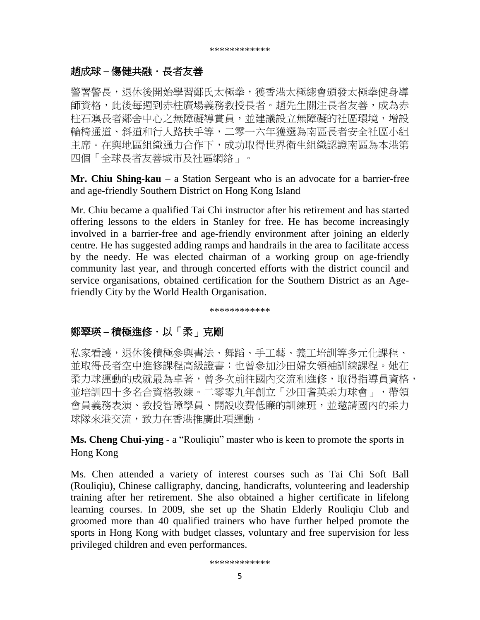### **趙成球 – 傷健共融・長者友善**

警署警長,退休後開始學習鄭氏太極拳,獲香港太極總會頒發太極拳健身導 師資格,此後每週到赤柱廣場義務教授長者。趙先生關注長者友善,成為赤 柱石澳長者鄰舍中心之無障礙導賞員,並建議設立無障礙的社區環境,增設 輪椅通道、斜道和行人路扶手等,二零一六年獲選為南區長者安全社區小組 主席。在與地區組織通力合作下,成功取得世界衛生組織認證南區為本港第 四個「全球長者友善城市及社區網絡」。

**Mr. Chiu Shing-kau** – a Station Sergeant who is an advocate for a barrier-free and age-friendly Southern District on Hong Kong Island

Mr. Chiu became a qualified Tai Chi instructor after his retirement and has started offering lessons to the elders in Stanley for free. He has become increasingly involved in a barrier-free and age-friendly environment after joining an elderly centre. He has suggested adding ramps and handrails in the area to facilitate access by the needy. He was elected chairman of a working group on age-friendly community last year, and through concerted efforts with the district council and service organisations, obtained certification for the Southern District as an Agefriendly City by the World Health Organisation.

\*\*\*\*\*\*\*\*\*\*\*\*

## 鄭翠瑛 **–** 積極進修.以「柔」克剛

私家看護,退休後積極參與書法、舞蹈、手工藝、義工培訓等多元化課程、 並取得長者空中進修課程高級證書;也曾參加沙田婦女領袖訓練課程。她在 柔力球運動的成就最為卓著,曾多次前往國內交流和進修,取得指導員資格, 並培訓四十多名合資格教練。二零零九年創立「沙田耆英柔力球會」,帶領 會員義務表演、教授智障學員、開設收費低廉的訓練班,並邀請國內的柔力 球隊來港交流,致力在香港推廣此項運動。

**Ms. Cheng Chui-ying** - a "Rouliqiu" master who is keen to promote the sports in Hong Kong

Ms. Chen attended a variety of interest courses such as Tai Chi Soft Ball (Rouliqiu), Chinese calligraphy, dancing, handicrafts, volunteering and leadership training after her retirement. She also obtained a higher certificate in lifelong learning courses. In 2009, she set up the Shatin Elderly Rouliqiu Club and groomed more than 40 qualified trainers who have further helped promote the sports in Hong Kong with budget classes, voluntary and free supervision for less privileged children and even performances.